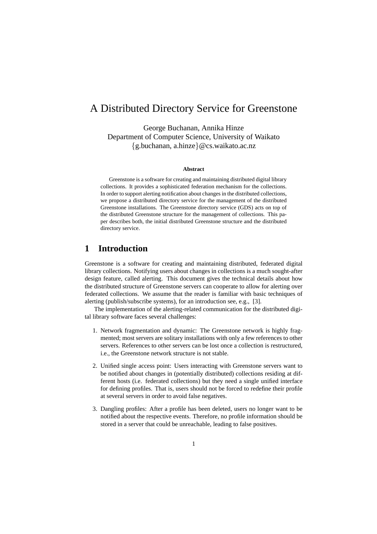# A Distributed Directory Service for Greenstone

George Buchanan, Annika Hinze Department of Computer Science, University of Waikato {g.buchanan, a.hinze}@cs.waikato.ac.nz

#### **Abstract**

Greenstone is a software for creating and maintaining distributed digital library collections. It provides a sophisticated federation mechanism for the collections. In order to support alerting notification about changes in the distributed collections, we propose a distributed directory service for the management of the distributed Greenstone installations. The Greenstone directory service (GDS) acts on top of the distributed Greenstone structure for the management of collections. This paper describes both, the initial distributed Greenstone structure and the distributed directory service.

# **1 Introduction**

Greenstone is a software for creating and maintaining distributed, federated digital library collections. Notifying users about changes in collections is a much sought-after design feature, called alerting. This document gives the technical details about how the distributed structure of Greenstone servers can cooperate to allow for alerting over federated collections. We assume that the reader is familiar with basic techniques of alerting (publish/subscribe systems), for an introduction see, e.g., [3].

The implementation of the alerting-related communication for the distributed digital library software faces several challenges:

- 1. Network fragmentation and dynamic: The Greenstone network is highly fragmented; most servers are solitary installations with only a few references to other servers. References to other servers can be lost once a collection is restructured, i.e., the Greenstone network structure is not stable.
- 2. Unified single access point: Users interacting with Greenstone servers want to be notified about changes in (potentially distributed) collections residing at different hosts (i.e. federated collections) but they need a single unified interface for defining profiles. That is, users should not be forced to redefine their profile at several servers in order to avoid false negatives.
- 3. Dangling profiles: After a profile has been deleted, users no longer want to be notified about the respective events. Therefore, no profile information should be stored in a server that could be unreachable, leading to false positives.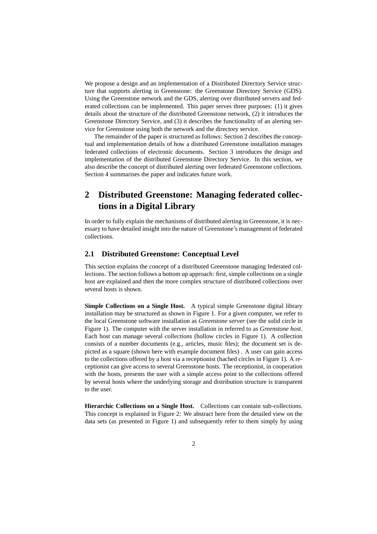We propose a design and an implementation of a Distributed Directory Service structure that supports alerting in Greenstone: the Greenstone Directory Service (GDS). Using the Greenstone network and the GDS, alerting over distributed servers and federated collections can be implemented. This paper serves three purposes: (1) it gives details about the structure of the distributed Greenstone network, (2) it introduces the Greenstone Directory Service, and (3) it describes the functionality of an alerting service for Greenstone using both the network and the directory service.

The remainder of the paper is structured as follows: Section 2 describes the conceptual and implementation details of how a distributed Greenstone installation manages federated collections of electronic documents. Section 3 introduces the design and implementation of the distributed Greenstone Directory Service. In this section, we also describe the concept of distributed alerting over federated Greenstone collections. Section 4 summarises the paper and indicates future work.

# **2 Distributed Greenstone: Managing federated collections in a Digital Library**

In order to fully explain the mechanisms of distributed alerting in Greenstone, it is necessary to have detailed insight into the nature of Greenstone's management of federated collections.

### **2.1 Distributed Greenstone: Conceptual Level**

This section explains the concept of a distributed Greenstone managing federated collections. The section follows a bottom up approach: first, simple collections on a single host are explained and then the more complex structure of distributed collections over several hosts is shown.

**Simple Collections on a Single Host.** A typical simple Greenstone digital library installation may be structured as shown in Figure 1. For a given computer, we refer to the local Greenstone software installation as *Greenstone server* (see the solid circle in Figure 1). The computer with the server installation in referred to as *Greenstone host*. Each host can manage several *collections* (hollow circles in Figure 1). A collection consists of a number documents (e.g., articles, music files); the document set is depicted as a square (shown here with example document files) . A user can gain access to the collections offered by a host via a receptionist (hached circles in Figure 1). A receptionist can give access to several Greenstone hosts. The receptionist, in cooperation with the hosts, presents the user with a simple access point to the collections offered by several hosts where the underlying storage and distribution structure is transparent to the user.

**Hierarchic Collections on a Single Host.** Collections can contain sub-collections. This concept is explained in Figure 2: We abstract here from the detailed view on the data sets (as presented in Figure 1) and subsequently refer to them simply by using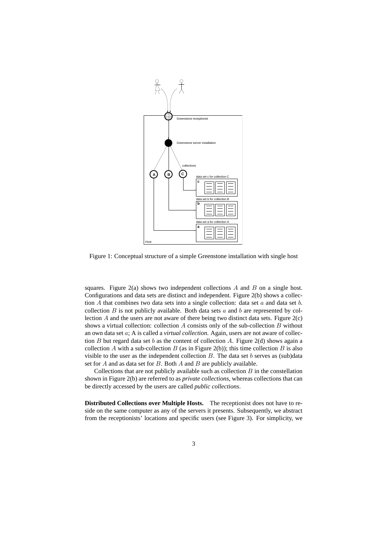

Figure 1: Conceptual structure of a simple Greenstone installation with single host

squares. Figure 2(a) shows two independent collections  $A$  and  $B$  on a single host. Configurations and data sets are distinct and independent. Figure 2(b) shows a collection  $A$  that combines two data sets into a single collection: data set  $a$  and data set  $b$ . collection  $B$  is not publicly available. Both data sets  $a$  and  $b$  are represented by collection  $A$  and the users are not aware of there being two distinct data sets. Figure  $2(c)$ shows a virtual collection: collection  $A$  consists only of the sub-collection  $B$  without an own data set a; A is called a *virtual collection*. Again, users are not aware of collection B but regard data set b as the content of collection A. Figure 2(d) shows again a collection A with a sub-collection B (as in Figure 2(b)); this time collection B is also visible to the user as the independent collection  $B$ . The data set  $b$  serves as (sub)data set for  $A$  and as data set for  $B$ . Both  $A$  and  $B$  are publicly available.

Collections that are not publicly available such as collection  $B$  in the constellation shown in Figure 2(b) are referred to as *private collections*, whereas collections that can be directly accessed by the users are called *public collections*.

**Distributed Collections over Multiple Hosts.** The receptionist does not have to reside on the same computer as any of the servers it presents. Subsequently, we abstract from the receptionists' locations and specific users (see Figure 3). For simplicity, we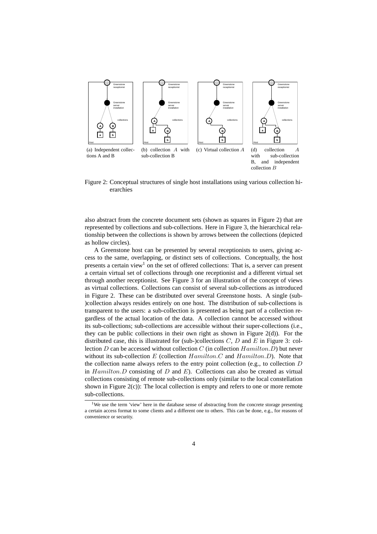

Figure 2: Conceptual structures of single host installations using various collection hierarchies

also abstract from the concrete document sets (shown as squares in Figure 2) that are represented by collections and sub-collections. Here in Figure 3, the hierarchical relationship between the collections is shown by arrows between the collections (depicted as hollow circles).

A Greenstone host can be presented by several receptionists to users, giving access to the same, overlapping, or distinct sets of collections. Conceptually, the host presents a certain view<sup>1</sup> on the set of offered collections: That is, a server can present a certain virtual set of collections through one receptionist and a different virtual set through another receptionist. See Figure 3 for an illustration of the concept of views as virtual collections. Collections can consist of several sub-collections as introduced in Figure 2. These can be distributed over several Greenstone hosts. A single (sub- )collection always resides entirely on one host. The distribution of sub-collections is transparent to the users: a sub-collection is presented as being part of a collection regardless of the actual location of the data. A collection cannot be accessed without its sub-collections; sub-collections are accessible without their super-collections (i.e., they can be public collections in their own right as shown in Figure 2(d)). For the distributed case, this is illustrated for (sub-)collections  $C, D$  and  $E$  in Figure 3: collection  $D$  can be accessed without collection  $C$  (in collection  $Hamilton.D$ ) but never without its sub-collection  $E$  (collection  $Hamilton.C$  and  $Hamilton.D$ ). Note that the collection name always refers to the entry point collection (e.g., to collection D in  $Hamilton.D$  consisting of  $D$  and  $E$ ). Collections can also be created as virtual collections consisting of remote sub-collections only (similar to the local constellation shown in Figure 2(c)): The local collection is empty and refers to one or more remote sub-collections.

<sup>&</sup>lt;sup>1</sup>We use the term 'view' here in the database sense of abstracting from the concrete storage presenting a certain access format to some clients and a different one to others. This can be done, e.g., for reasons of convenience or security.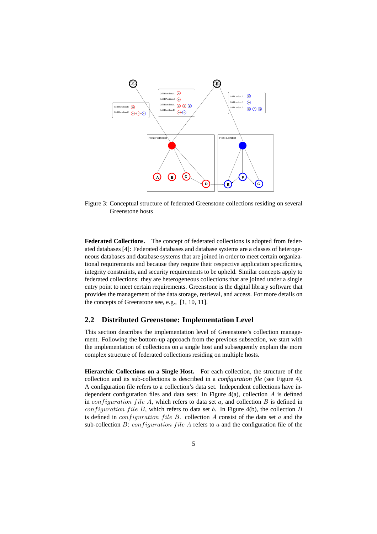

Figure 3: Conceptual structure of federated Greenstone collections residing on several Greenstone hosts

**Federated Collections.** The concept of federated collections is adopted from federated databases [4]: Federated databases and database systems are a classes of heterogeneous databases and database systems that are joined in order to meet certain organizational requirements and because they require their respective application specificities, integrity constraints, and security requirements to be upheld. Similar concepts apply to federated collections: they are heterogeneous collections that are joined under a single entry point to meet certain requirements. Greenstone is the digital library software that provides the management of the data storage, retrieval, and access. For more details on the concepts of Greenstone see, e.g., [1, 10, 11].

### **2.2 Distributed Greenstone: Implementation Level**

This section describes the implementation level of Greenstone's collection management. Following the bottom-up approach from the previous subsection, we start with the implementation of collections on a single host and subsequently explain the more complex structure of federated collections residing on multiple hosts.

**Hierarchic Collections on a Single Host.** For each collection, the structure of the collection and its sub-collections is described in a *configuration file* (see Figure 4). A configuration file refers to a collection's data set. Independent collections have independent configuration files and data sets: In Figure  $4(a)$ , collection A is defined in *configuration file A*, which refers to data set  $a$ , and collection  $B$  is defined in configuration file B, which refers to data set b. In Figure 4(b), the collection B is defined in *configuration file B*. collection  $A$  consist of the data set  $a$  and the sub-collection  $B$ : *configuration file A* refers to  $a$  and the configuration file of the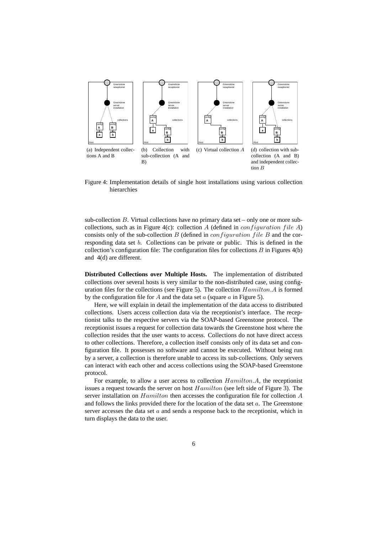

Figure 4: Implementation details of single host installations using various collection hierarchies

sub-collection  $B$ . Virtual collections have no primary data set – only one or more subcollections, such as in Figure 4(c): collection A (defined in *configuration file A*) consists only of the sub-collection  $B$  (defined in *configuration file B* and the corresponding data set b. Collections can be private or public. This is defined in the collection's configuration file: The configuration files for collections  $B$  in Figures 4(b) and 4(d) are different.

**Distributed Collections over Multiple Hosts.** The implementation of distributed collections over several hosts is very similar to the non-distributed case, using configuration files for the collections (see Figure 5). The collection Hamilton.A is formed by the configuration file for A and the data set  $\alpha$  (square  $\alpha$  in Figure 5).

Here, we will explain in detail the implementation of the data access to distributed collections. Users access collection data via the receptionist's interface. The receptionist talks to the respective servers via the SOAP-based Greenstone protocol. The receptionist issues a request for collection data towards the Greenstone host where the collection resides that the user wants to access. Collections do not have direct access to other collections. Therefore, a collection itself consists only of its data set and configuration file. It possesses no software and cannot be executed. Without being run by a server, a collection is therefore unable to access its sub-collections. Only servers can interact with each other and access collections using the SOAP-based Greenstone protocol.

For example, to allow a user access to collection Hamilton.A, the receptionist issues a request towards the server on host Hamilton (see left side of Figure 3). The server installation on Hamilton then accesses the configuration file for collection A and follows the links provided there for the location of the data set a. The Greenstone server accesses the data set a and sends a response back to the receptionist, which in turn displays the data to the user.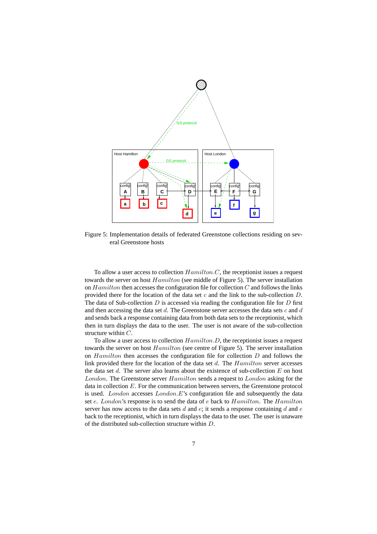

Figure 5: Implementation details of federated Greenstone collections residing on several Greenstone hosts

To allow a user access to collection  $Hamilton.C$ , the receptionist issues a request towards the server on host Hamilton (see middle of Figure 5). The server installation on  $Hamilton$  then accesses the configuration file for collection  $C$  and follows the links provided there for the location of the data set  $c$  and the link to the sub-collection  $D$ . The data of Sub-collection  $D$  is accessed via reading the configuration file for  $D$  first and then accessing the data set  $d$ . The Greenstone server accesses the data sets  $c$  and  $d$ and sends back a response containing data from both data sets to the receptionist, which then in turn displays the data to the user. The user is not aware of the sub-collection structure within C.

To allow a user access to collection  $Hamilton.D$ , the receptionist issues a request towards the server on host *Hamilton* (see centre of Figure 5). The server installation on Hamilton then accesses the configuration file for collection D and follows the link provided there for the location of the data set d. The Hamilton server accesses the data set  $d$ . The server also learns about the existence of sub-collection  $E$  on host London. The Greenstone server Hamilton sends a request to London asking for the data in collection E. For the communication between servers, the Greenstone protocol is used. London accesses London.E's configuration file and subsequently the data set e. London's response is to send the data of e back to Hamilton. The Hamilton server has now access to the data sets d and  $e$ ; it sends a response containing d and  $e$ back to the receptionist, which in turn displays the data to the user. The user is unaware of the distributed sub-collection structure within D.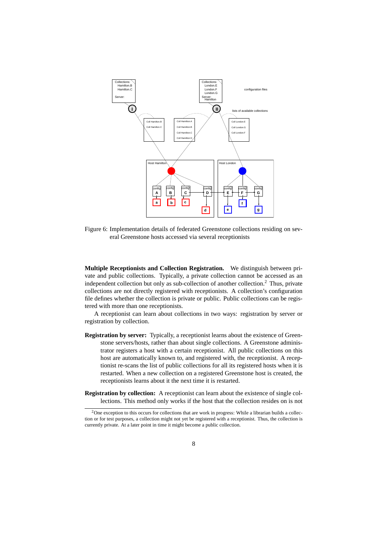

Figure 6: Implementation details of federated Greenstone collections residing on several Greenstone hosts accessed via several receptionists

**Multiple Receptionists and Collection Registration.** We distinguish between private and public collections. Typically, a private collection cannot be accessed as an independent collection but only as sub-collection of another collection.<sup>2</sup> Thus, private collections are not directly registered with receptionists. A collection's configuration file defines whether the collection is private or public. Public collections can be registered with more than one receptionists.

A receptionist can learn about collections in two ways: registration by server or registration by collection.

- **Registration by server:** Typically, a receptionist learns about the existence of Greenstone servers/hosts, rather than about single collections. A Greenstone administrator registers a host with a certain receptionist. All public collections on this host are automatically known to, and registered with, the receptionist. A receptionist re-scans the list of public collections for all its registered hosts when it is restarted. When a new collection on a registered Greenstone host is created, the receptionists learns about it the next time it is restarted.
- **Registration by collection:** A receptionist can learn about the existence of single collections. This method only works if the host that the collection resides on is not

<sup>&</sup>lt;sup>2</sup>One exception to this occurs for collections that are work in progress: While a librarian builds a collection or for test purposes, a collection might not yet be registered with a receptionist. Thus, the collection is currently private. At a later point in time it might become a public collection.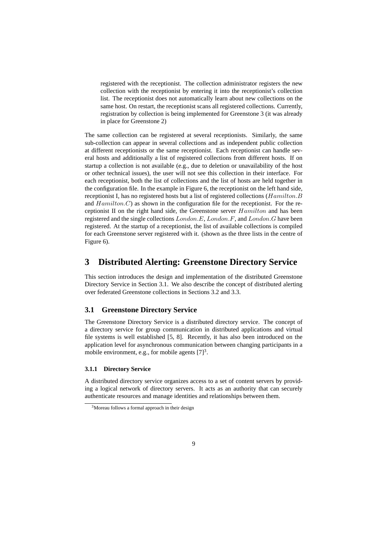registered with the receptionist. The collection administrator registers the new collection with the receptionist by entering it into the receptionist's collection list. The receptionist does not automatically learn about new collections on the same host. On restart, the receptionist scans all registered collections. Currently, registration by collection is being implemented for Greenstone 3 (it was already in place for Greenstone 2)

The same collection can be registered at several receptionists. Similarly, the same sub-collection can appear in several collections and as independent public collection at different receptionists or the same receptionist. Each receptionist can handle several hosts and additionally a list of registered collections from different hosts. If on startup a collection is not available (e.g., due to deletion or unavailability of the host or other technical issues), the user will not see this collection in their interface. For each receptionist, both the list of collections and the list of hosts are held together in the configuration file. In the example in Figure 6, the receptionist on the left hand side, receptionist I, has no registered hosts but a list of registered collections (Hamilton.B and Hamilton.C) as shown in the configuration file for the receptionist. For the receptionist II on the right hand side, the Greenstone server Hamilton and has been registered and the single collections London.E, London.F, and London.G have been registered. At the startup of a receptionist, the list of available collections is compiled for each Greenstone server registered with it. (shown as the three lists in the centre of Figure 6).

# **3 Distributed Alerting: Greenstone Directory Service**

This section introduces the design and implementation of the distributed Greenstone Directory Service in Section 3.1. We also describe the concept of distributed alerting over federated Greenstone collections in Sections 3.2 and 3.3.

## **3.1 Greenstone Directory Service**

The Greenstone Directory Service is a distributed directory service. The concept of a directory service for group communication in distributed applications and virtual file systems is well established [5, 8]. Recently, it has also been introduced on the application level for asynchronous communication between changing participants in a mobile environment, e.g., for mobile agents  $[7]^3$ .

#### **3.1.1 Directory Service**

A distributed directory service organizes access to a set of content servers by providing a logical network of directory servers. It acts as an authority that can securely authenticate resources and manage identities and relationships between them.

<sup>3</sup>Moreau follows a formal approach in their design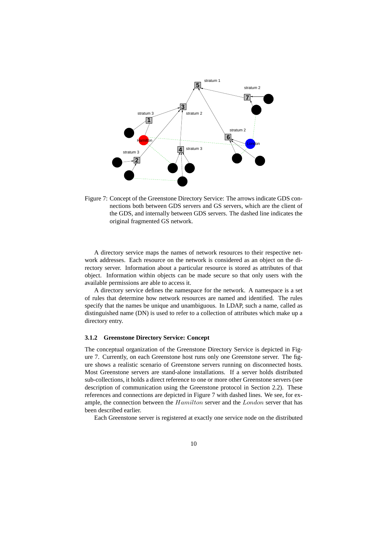

Figure 7: Concept of the Greenstone Directory Service: The arrows indicate GDS connections both between GDS servers and GS servers, which are the client of the GDS, and internally between GDS servers. The dashed line indicates the original fragmented GS network.

A directory service maps the names of network resources to their respective network addresses. Each resource on the network is considered as an object on the directory server. Information about a particular resource is stored as attributes of that object. Information within objects can be made secure so that only users with the available permissions are able to access it.

A directory service defines the namespace for the network. A namespace is a set of rules that determine how network resources are named and identified. The rules specify that the names be unique and unambiguous. In LDAP, such a name, called as distinguished name (DN) is used to refer to a collection of attributes which make up a directory entry.

#### **3.1.2 Greenstone Directory Service: Concept**

The conceptual organization of the Greenstone Directory Service is depicted in Figure 7. Currently, on each Greenstone host runs only one Greenstone server. The figure shows a realistic scenario of Greenstone servers running on disconnected hosts. Most Greenstone servers are stand-alone installations. If a server holds distributed sub-collections, it holds a direct reference to one or more other Greenstone servers (see description of communication using the Greenstone protocol in Section 2.2). These references and connections are depicted in Figure 7 with dashed lines. We see, for example, the connection between the Hamilton server and the London server that has been described earlier.

Each Greenstone server is registered at exactly one service node on the distributed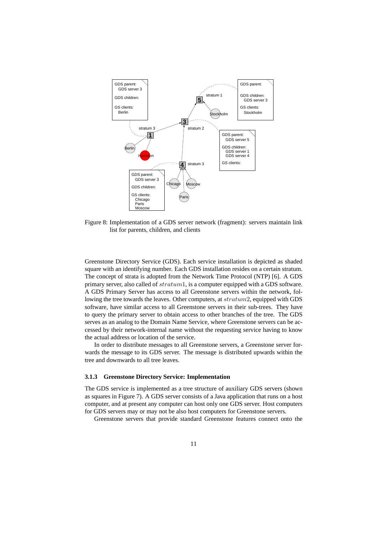

Figure 8: Implementation of a GDS server network (fragment): servers maintain link list for parents, children, and clients

Greenstone Directory Service (GDS). Each service installation is depicted as shaded square with an identifying number. Each GDS installation resides on a certain stratum. The concept of strata is adopted from the Network Time Protocol (NTP) [6]. A GDS primary server, also called of stratum1, is a computer equipped with a GDS software. A GDS Primary Server has access to all Greenstone servers within the network, following the tree towards the leaves. Other computers, at stratum2, equipped with GDS software, have similar access to all Greenstone servers in their sub-trees. They have to query the primary server to obtain access to other branches of the tree. The GDS serves as an analog to the Domain Name Service, where Greenstone servers can be accessed by their network-internal name without the requesting service having to know the actual address or location of the service.

In order to distribute messages to all Greenstone servers, a Greenstone server forwards the message to its GDS server. The message is distributed upwards within the tree and downwards to all tree leaves.

#### **3.1.3 Greenstone Directory Service: Implementation**

The GDS service is implemented as a tree structure of auxiliary GDS servers (shown as squares in Figure 7). A GDS server consists of a Java application that runs on a host computer, and at present any computer can host only one GDS server. Host computers for GDS servers may or may not be also host computers for Greenstone servers.

Greenstone servers that provide standard Greenstone features connect onto the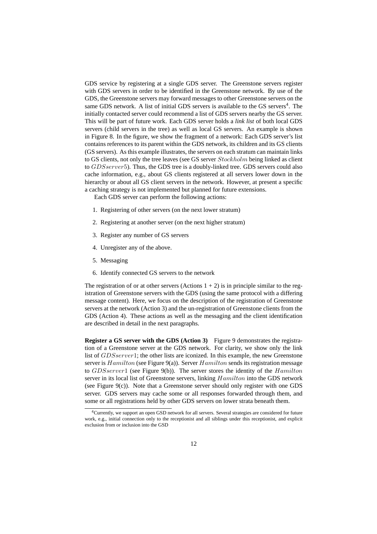GDS service by registering at a single GDS server. The Greenstone servers register with GDS servers in order to be identified in the Greenstone network. By use of the GDS, the Greenstone servers may forward messages to other Greenstone servers on the same GDS network. A list of initial GDS servers is available to the GS servers<sup>4</sup>. The initially contacted server could recommend a list of GDS servers nearby the GS server. This will be part of future work. Each GDS server holds a *link list* of both local GDS servers (child servers in the tree) as well as local GS servers. An example is shown in Figure 8. In the figure, we show the fragment of a network: Each GDS server's list contains references to its parent within the GDS network, its children and its GS clients (GS servers). As this example illustrates, the servers on each stratum can maintain links to GS clients, not only the tree leaves (see GS server Stockholm being linked as client to GDSserver5). Thus, the GDS tree is a doubly-linked tree. GDS servers could also cache information, e.g., about GS clients registered at all servers lower down in the hierarchy or about all GS client servers in the network. However, at present a specific a caching strategy is not implemented but planned for future extensions.

Each GDS server can perform the following actions:

- 1. Registering of other servers (on the next lower stratum)
- 2. Registering at another server (on the next higher stratum)
- 3. Register any number of GS servers
- 4. Unregister any of the above.
- 5. Messaging
- 6. Identify connected GS servers to the network

The registration of or at other servers (Actions  $1 + 2$ ) is in principle similar to the registration of Greenstone servers with the GDS (using the same protocol with a differing message content). Here, we focus on the description of the registration of Greenstone servers at the network (Action 3) and the un-registration of Greenstone clients from the GDS (Action 4). These actions as well as the messaging and the client identification are described in detail in the next paragraphs.

**Register a GS server with the GDS (Action 3)** Figure 9 demonstrates the registration of a Greenstone server at the GDS network. For clarity, we show only the link list of *GDSserver*1; the other lists are iconized. In this example, the new Greenstone server is Hamilton (see Figure 9(a)). Server Hamilton sends its registration message to GDSserver1 (see Figure 9(b)). The server stores the identity of the Hamilton server in its local list of Greenstone servers, linking Hamilton into the GDS network (see Figure  $9(c)$ ). Note that a Greenstone server should only register with one GDS server. GDS servers may cache some or all responses forwarded through them, and some or all registrations held by other GDS servers on lower strata beneath them.

<sup>&</sup>lt;sup>4</sup>Currently, we support an open GSD network for all servers. Several strategies are considered for future work, e.g., initial connection only to the receptionist and all siblings under this receptionist, and explicit exclusion from or inclusion into the GSD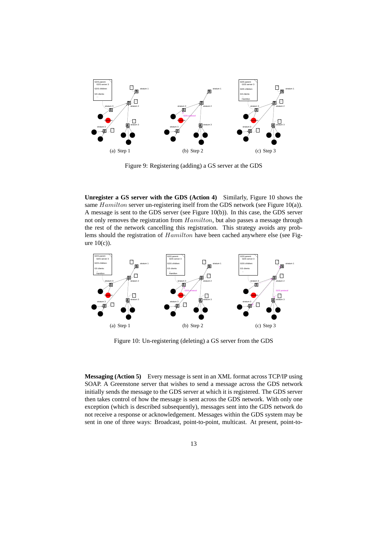

Figure 9: Registering (adding) a GS server at the GDS

**Unregister a GS server with the GDS (Action 4)** Similarly, Figure 10 shows the same *Hamilton* server un-registering itself from the GDS network (see Figure 10(a)). A message is sent to the GDS server (see Figure 10(b)). In this case, the GDS server not only removes the registration from Hamilton, but also passes a message through the rest of the network cancelling this registration. This strategy avoids any problems should the registration of Hamilton have been cached anywhere else (see Figure  $10(c)$ ).



Figure 10: Un-registering (deleting) a GS server from the GDS

**Messaging (Action 5)** Every message is sent in an XML format across TCP/IP using SOAP. A Greenstone server that wishes to send a message across the GDS network initially sends the message to the GDS server at which it is registered. The GDS server then takes control of how the message is sent across the GDS network. With only one exception (which is described subsequently), messages sent into the GDS network do not receive a response or acknowledgement. Messages within the GDS system may be sent in one of three ways: Broadcast, point-to-point, multicast. At present, point-to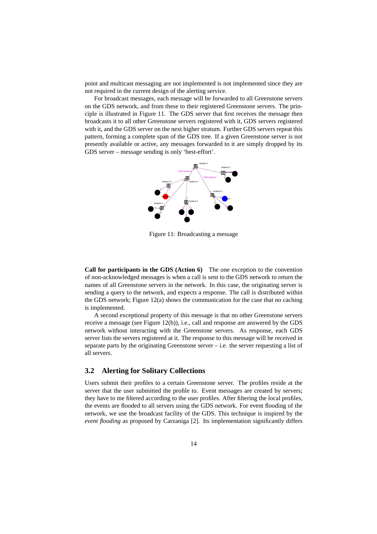point and multicast messaging are not implemented is not implemented since they are not required in the current design of the alerting service.

For broadcast messages, each message will be forwarded to all Greenstone servers on the GDS network, and from these to their registered Greenstone servers. The principle is illustrated in Figure 11. The GDS server that first receives the message then broadcasts it to all other Greenstone servers registered with it, GDS servers registered with it, and the GDS server on the next higher stratum. Further GDS servers repeat this pattern, forming a complete span of the GDS tree. If a given Greenstone server is not presently available or active, any messages forwarded to it are simply dropped by its GDS server – message sending is only 'best-effort'.



Figure 11: Broadcasting a message

**Call for participants in the GDS (Action 6)** The one exception to the convention of non-acknowledged messages is when a call is sent to the GDS network to return the names of all Greenstone servers in the network. In this case, the originating server is sending a query to the network, and expects a response. The call is distributed within the GDS network; Figure  $12(a)$  shows the communication for the case that no caching is implemented.

A second exceptional property of this message is that no other Greenstone servers receive a message (see Figure 12(b)), i.e., call and response are answered by the GDS network without interacting with the Greenstone servers. As response, each GDS server lists the servers registered at it. The response to this message will be received in separate parts by the originating Greenstone server  $-$  i.e. the server requesting a list of all servers.

## **3.2 Alerting for Solitary Collections**

Users submit their profiles to a certain Greenstone server. The profiles reside at the server that the user submitted the profile to. Event messages are created by servers; they have to me filtered according to the user profiles. After filtering the local profiles, the events are flooded to all servers using the GDS network. For event flooding of the network, we use the broadcast facility of the GDS. This technique is inspired by the *event flooding* as proposed by Carzaniga [2]. Its implementation significantly differs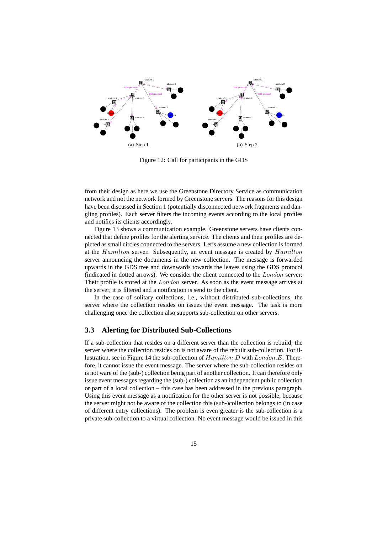

Figure 12: Call for participants in the GDS

from their design as here we use the Greenstone Directory Service as communication network and not the network formed by Greenstone servers. The reasons for this design have been discussed in Section 1 (potentially disconnected network fragments and dangling profiles). Each server filters the incoming events according to the local profiles and notifies its clients accordingly.

Figure 13 shows a communication example. Greenstone servers have clients connected that define profiles for the alerting service. The clients and their profiles are depicted as small circles connected to the servers. Let's assume a new collection is formed at the Hamilton server. Subsequently, an event message is created by Hamilton server announcing the documents in the new collection. The message is forwarded upwards in the GDS tree and downwards towards the leaves using the GDS protocol (indicated in dotted arrows). We consider the client connected to the London server: Their profile is stored at the London server. As soon as the event message arrives at the server, it is filtered and a notification is send to the client.

In the case of solitary collections, i.e., without distributed sub-collections, the server where the collection resides on issues the event message. The task is more challenging once the collection also supports sub-collection on other servers.

## **3.3 Alerting for Distributed Sub-Collections**

If a sub-collection that resides on a different server than the collection is rebuild, the server where the collection resides on is not aware of the rebuilt sub-collection. For illustration, see in Figure 14 the sub-collection of Hamilton.D with London.E. Therefore, it cannot issue the event message. The server where the sub-collection resides on is not ware of the (sub-) collection being part of another collection. It can therefore only issue event messages regarding the (sub-) collection as an independent public collection or part of a local collection – this case has been addressed in the previous paragraph. Using this event message as a notification for the other server is not possible, because the server might not be aware of the collection this (sub-)collection belongs to (in case of different entry collections). The problem is even greater is the sub-collection is a private sub-collection to a virtual collection. No event message would be issued in this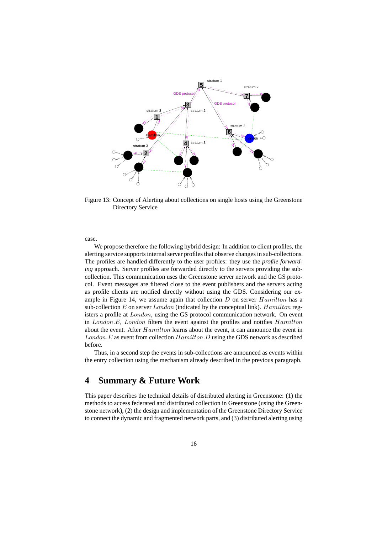

Figure 13: Concept of Alerting about collections on single hosts using the Greenstone Directory Service

case.

We propose therefore the following hybrid design: In addition to client profiles, the alerting service supports internal server profiles that observe changes in sub-collections. The profiles are handled differently to the user profiles: they use the *profile forwarding* approach. Server profiles are forwarded directly to the servers providing the subcollection. This communication uses the Greenstone server network and the GS protocol. Event messages are filtered close to the event publishers and the servers acting as profile clients are notified directly without using the GDS. Considering our example in Figure 14, we assume again that collection  $D$  on server  $Hamilton$  has a sub-collection  $E$  on server  $London$  (indicated by the conceptual link). Hamilton registers a profile at London, using the GS protocol communication network. On event in London.E, London filters the event against the profiles and notifies Hamilton about the event. After Hamilton learns about the event, it can announce the event in London.E as event from collection Hamilton.D using the GDS network as described before.

Thus, in a second step the events in sub-collections are announced as events within the entry collection using the mechanism already described in the previous paragraph.

# **4 Summary & Future Work**

This paper describes the technical details of distributed alerting in Greenstone: (1) the methods to access federated and distributed collection in Greenstone (using the Greenstone network), (2) the design and implementation of the Greenstone Directory Service to connect the dynamic and fragmented network parts, and (3) distributed alerting using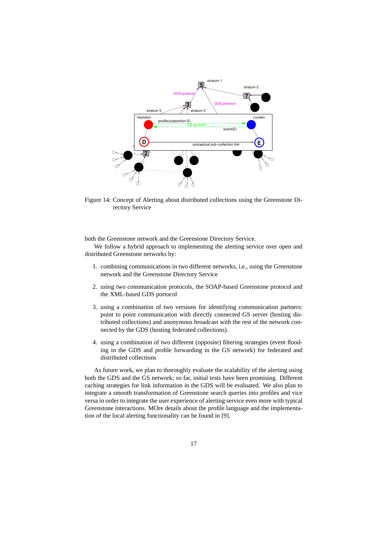

Figure 14: Concept of Alerting about distributed collections using the Greenstone Directory Service

### both the Greenstone network and the Greenstone Directory Service.

We follow a hybrid approach to implementing the alerting service over open and distributed Greenstone networks by:

- 1. combining communications in two different networks, i.e., using the Greenstone network and the Greenstone Directory Service
- 2. using two communication protocols, the SOAP-based Greenstone protocol and the XML-based GDS portocol
- 3. using a combination of two versions for identifying communication partners: point to point communication with directly connected GS server (hosting distributed collections) and anonymous broadcast with the rest of the network connected by the GDS (hosting federated collections).
- 4. using a combination of two different (opposite) filtering strategies (event flooding in the GDS and profile forwarding in the GS network) for federated and distributed collections

As future work, we plan to thoroughly evaluate the scalability of the alerting using both the GDS and the GS network; so far, initial tests have been promising. Different caching strategies for link information in the GDS will be evaluated. We also plan to integrate a smooth transformation of Greenstone search queries into profiles and vice versa in order to integrate the user experience of alerting service even more with typical Greenstone interactions. MOre details about the profile language and the implementation of the local alerting functionality can be found in [9].